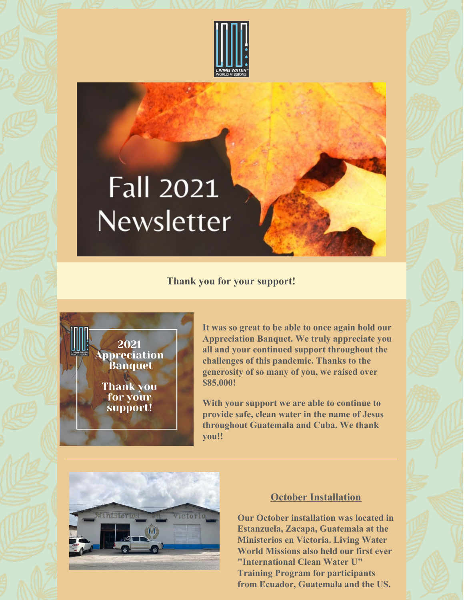

# **Fall 2021** Newsletter

## **Thank you for your support!**



**It was so great to be able to once again hold our Appreciation Banquet. We truly appreciate you all and your continued support throughout the challenges of this pandemic. Thanks to the generosity of so many of you, we raised over \$85,000!**

**With your support we are able to continue to provide safe, clean water in the name of Jesus throughout Guatemala and Cuba. We thank you!!**



#### **October Installation**

**Our October installation was located in Estanzuela, Zacapa, Guatemala at the Ministerios en Victoria. Living Water World Missions also held our first ever "International Clean Water U" Training Program for participants from Ecuador, Guatemala and the US.**